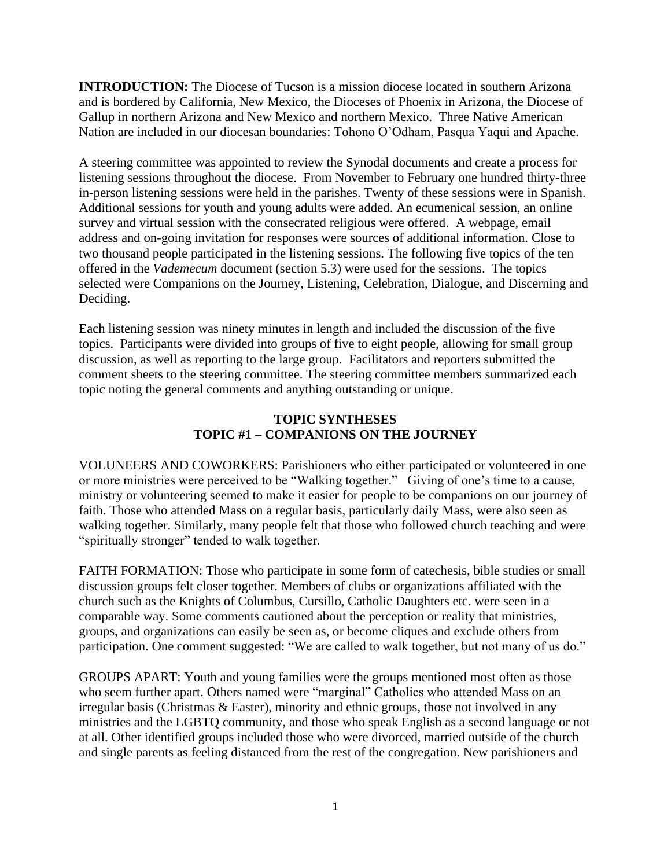**INTRODUCTION:** The Diocese of Tucson is a mission diocese located in southern Arizona and is bordered by California, New Mexico, the Dioceses of Phoenix in Arizona, the Diocese of Gallup in northern Arizona and New Mexico and northern Mexico. Three Native American Nation are included in our diocesan boundaries: Tohono O'Odham, Pasqua Yaqui and Apache.

A steering committee was appointed to review the Synodal documents and create a process for listening sessions throughout the diocese. From November to February one hundred thirty-three in-person listening sessions were held in the parishes. Twenty of these sessions were in Spanish. Additional sessions for youth and young adults were added. An ecumenical session, an online survey and virtual session with the consecrated religious were offered. A webpage, email address and on-going invitation for responses were sources of additional information. Close to two thousand people participated in the listening sessions. The following five topics of the ten offered in the *Vademecum* document (section 5.3) were used for the sessions. The topics selected were Companions on the Journey, Listening, Celebration, Dialogue, and Discerning and Deciding.

Each listening session was ninety minutes in length and included the discussion of the five topics. Participants were divided into groups of five to eight people, allowing for small group discussion, as well as reporting to the large group. Facilitators and reporters submitted the comment sheets to the steering committee. The steering committee members summarized each topic noting the general comments and anything outstanding or unique.

# **TOPIC SYNTHESES TOPIC #1 – COMPANIONS ON THE JOURNEY**

VOLUNEERS AND COWORKERS: Parishioners who either participated or volunteered in one or more ministries were perceived to be "Walking together." Giving of one's time to a cause, ministry or volunteering seemed to make it easier for people to be companions on our journey of faith. Those who attended Mass on a regular basis, particularly daily Mass, were also seen as walking together. Similarly, many people felt that those who followed church teaching and were "spiritually stronger" tended to walk together.

FAITH FORMATION: Those who participate in some form of catechesis, bible studies or small discussion groups felt closer together. Members of clubs or organizations affiliated with the church such as the Knights of Columbus, Cursillo, Catholic Daughters etc. were seen in a comparable way. Some comments cautioned about the perception or reality that ministries, groups, and organizations can easily be seen as, or become cliques and exclude others from participation. One comment suggested: "We are called to walk together, but not many of us do."

GROUPS APART: Youth and young families were the groups mentioned most often as those who seem further apart. Others named were "marginal" Catholics who attended Mass on an irregular basis (Christmas & Easter), minority and ethnic groups, those not involved in any ministries and the LGBTQ community, and those who speak English as a second language or not at all. Other identified groups included those who were divorced, married outside of the church and single parents as feeling distanced from the rest of the congregation. New parishioners and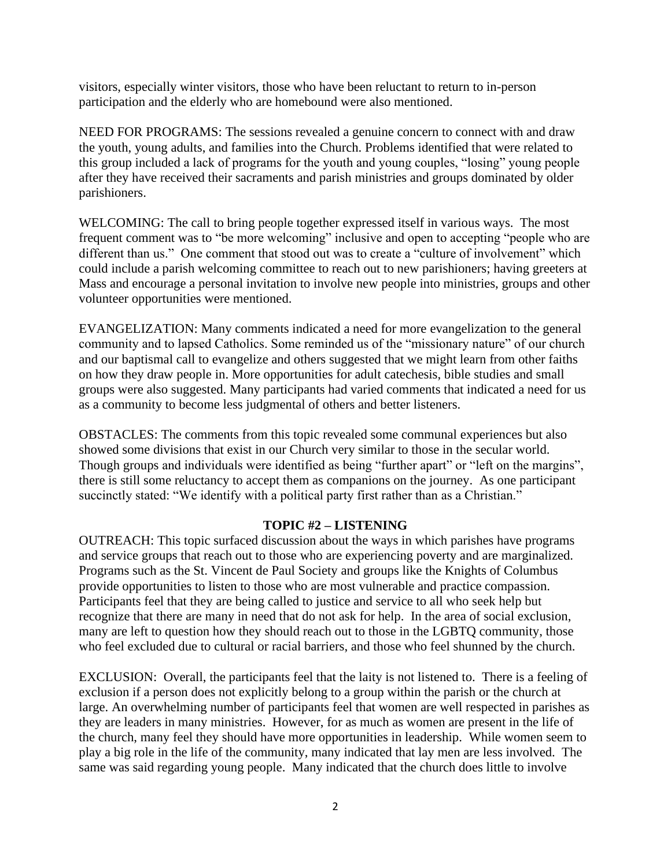visitors, especially winter visitors, those who have been reluctant to return to in-person participation and the elderly who are homebound were also mentioned.

NEED FOR PROGRAMS: The sessions revealed a genuine concern to connect with and draw the youth, young adults, and families into the Church. Problems identified that were related to this group included a lack of programs for the youth and young couples, "losing" young people after they have received their sacraments and parish ministries and groups dominated by older parishioners.

WELCOMING: The call to bring people together expressed itself in various ways. The most frequent comment was to "be more welcoming" inclusive and open to accepting "people who are different than us." One comment that stood out was to create a "culture of involvement" which could include a parish welcoming committee to reach out to new parishioners; having greeters at Mass and encourage a personal invitation to involve new people into ministries, groups and other volunteer opportunities were mentioned.

EVANGELIZATION: Many comments indicated a need for more evangelization to the general community and to lapsed Catholics. Some reminded us of the "missionary nature" of our church and our baptismal call to evangelize and others suggested that we might learn from other faiths on how they draw people in. More opportunities for adult catechesis, bible studies and small groups were also suggested. Many participants had varied comments that indicated a need for us as a community to become less judgmental of others and better listeners.

OBSTACLES: The comments from this topic revealed some communal experiences but also showed some divisions that exist in our Church very similar to those in the secular world. Though groups and individuals were identified as being "further apart" or "left on the margins", there is still some reluctancy to accept them as companions on the journey. As one participant succinctly stated: "We identify with a political party first rather than as a Christian."

## **TOPIC #2 – LISTENING**

OUTREACH: This topic surfaced discussion about the ways in which parishes have programs and service groups that reach out to those who are experiencing poverty and are marginalized. Programs such as the St. Vincent de Paul Society and groups like the Knights of Columbus provide opportunities to listen to those who are most vulnerable and practice compassion. Participants feel that they are being called to justice and service to all who seek help but recognize that there are many in need that do not ask for help. In the area of social exclusion, many are left to question how they should reach out to those in the LGBTQ community, those who feel excluded due to cultural or racial barriers, and those who feel shunned by the church.

EXCLUSION: Overall, the participants feel that the laity is not listened to. There is a feeling of exclusion if a person does not explicitly belong to a group within the parish or the church at large. An overwhelming number of participants feel that women are well respected in parishes as they are leaders in many ministries. However, for as much as women are present in the life of the church, many feel they should have more opportunities in leadership. While women seem to play a big role in the life of the community, many indicated that lay men are less involved. The same was said regarding young people. Many indicated that the church does little to involve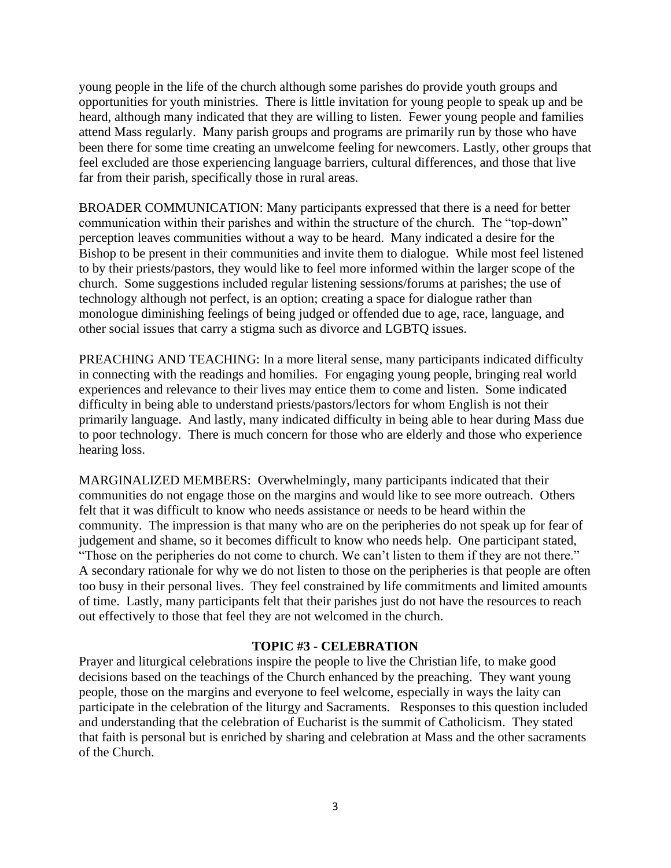young people in the life of the church although some parishes do provide youth groups and opportunities for youth ministries. There is little invitation for young people to speak up and be heard, although many indicated that they are willing to listen. Fewer young people and families attend Mass regularly. Many parish groups and programs are primarily run by those who have been there for some time creating an unwelcome feeling for newcomers. Lastly, other groups that feel excluded are those experiencing language barriers, cultural differences, and those that live far from their parish, specifically those in rural areas.

BROADER COMMUNICATION: Many participants expressed that there is a need for better communication within their parishes and within the structure of the church. The "top-down" perception leaves communities without a way to be heard. Many indicated a desire for the Bishop to be present in their communities and invite them to dialogue. While most feel listened to by their priests/pastors, they would like to feel more informed within the larger scope of the church. Some suggestions included regular listening sessions/forums at parishes; the use of technology although not perfect, is an option; creating a space for dialogue rather than monologue diminishing feelings of being judged or offended due to age, race, language, and other social issues that carry a stigma such as divorce and LGBTQ issues.

PREACHING AND TEACHING: In a more literal sense, many participants indicated difficulty in connecting with the readings and homilies. For engaging young people, bringing real world experiences and relevance to their lives may entice them to come and listen. Some indicated difficulty in being able to understand priests/pastors/lectors for whom English is not their primarily language. And lastly, many indicated difficulty in being able to hear during Mass due to poor technology. There is much concern for those who are elderly and those who experience hearing loss.

MARGINALIZED MEMBERS: Overwhelmingly, many participants indicated that their communities do not engage those on the margins and would like to see more outreach. Others felt that it was difficult to know who needs assistance or needs to be heard within the community. The impression is that many who are on the peripheries do not speak up for fear of judgement and shame, so it becomes difficult to know who needs help. One participant stated, "Those on the peripheries do not come to church. We can't listen to them if they are not there." A secondary rationale for why we do not listen to those on the peripheries is that people are often too busy in their personal lives. They feel constrained by life commitments and limited amounts of time. Lastly, many participants felt that their parishes just do not have the resources to reach out effectively to those that feel they are not welcomed in the church.

### **TOPIC #3 - CELEBRATION**

Prayer and liturgical celebrations inspire the people to live the Christian life, to make good decisions based on the teachings of the Church enhanced by the preaching. They want young people, those on the margins and everyone to feel welcome, especially in ways the laity can participate in the celebration of the liturgy and Sacraments. Responses to this question included and understanding that the celebration of Eucharist is the summit of Catholicism. They stated that faith is personal but is enriched by sharing and celebration at Mass and the other sacraments of the Church.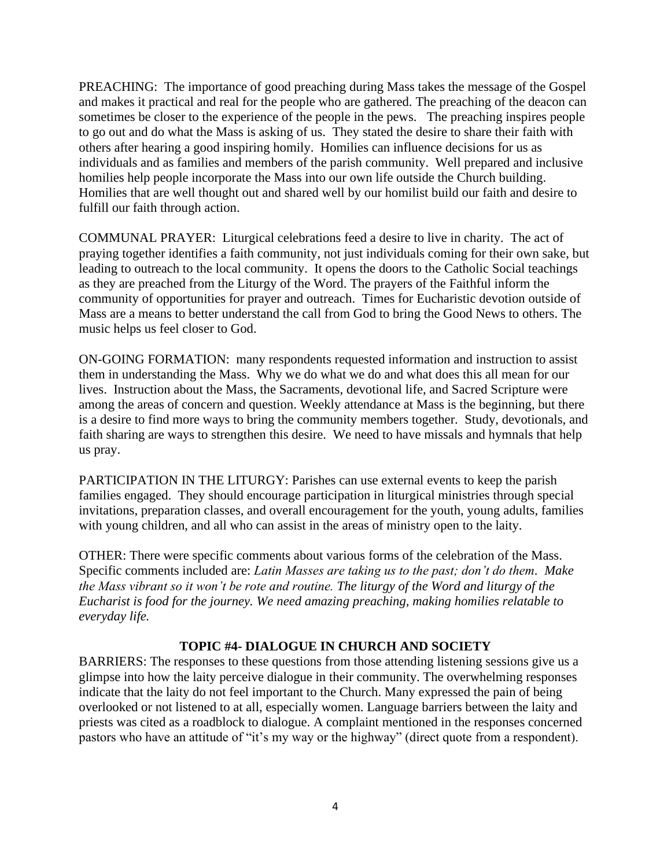PREACHING: The importance of good preaching during Mass takes the message of the Gospel and makes it practical and real for the people who are gathered. The preaching of the deacon can sometimes be closer to the experience of the people in the pews. The preaching inspires people to go out and do what the Mass is asking of us. They stated the desire to share their faith with others after hearing a good inspiring homily. Homilies can influence decisions for us as individuals and as families and members of the parish community. Well prepared and inclusive homilies help people incorporate the Mass into our own life outside the Church building. Homilies that are well thought out and shared well by our homilist build our faith and desire to fulfill our faith through action.

COMMUNAL PRAYER: Liturgical celebrations feed a desire to live in charity. The act of praying together identifies a faith community, not just individuals coming for their own sake, but leading to outreach to the local community. It opens the doors to the Catholic Social teachings as they are preached from the Liturgy of the Word. The prayers of the Faithful inform the community of opportunities for prayer and outreach. Times for Eucharistic devotion outside of Mass are a means to better understand the call from God to bring the Good News to others. The music helps us feel closer to God.

ON-GOING FORMATION: many respondents requested information and instruction to assist them in understanding the Mass. Why we do what we do and what does this all mean for our lives. Instruction about the Mass, the Sacraments, devotional life, and Sacred Scripture were among the areas of concern and question. Weekly attendance at Mass is the beginning, but there is a desire to find more ways to bring the community members together. Study, devotionals, and faith sharing are ways to strengthen this desire. We need to have missals and hymnals that help us pray.

PARTICIPATION IN THE LITURGY: Parishes can use external events to keep the parish families engaged. They should encourage participation in liturgical ministries through special invitations, preparation classes, and overall encouragement for the youth, young adults, families with young children, and all who can assist in the areas of ministry open to the laity.

OTHER: There were specific comments about various forms of the celebration of the Mass. Specific comments included are: *Latin Masses are taking us to the past; don't do them. Make the Mass vibrant so it won't be rote and routine. The liturgy of the Word and liturgy of the Eucharist is food for the journey. We need amazing preaching, making homilies relatable to everyday life.* 

## **TOPIC #4- DIALOGUE IN CHURCH AND SOCIETY**

BARRIERS: The responses to these questions from those attending listening sessions give us a glimpse into how the laity perceive dialogue in their community. The overwhelming responses indicate that the laity do not feel important to the Church. Many expressed the pain of being overlooked or not listened to at all, especially women. Language barriers between the laity and priests was cited as a roadblock to dialogue. A complaint mentioned in the responses concerned pastors who have an attitude of "it's my way or the highway" (direct quote from a respondent).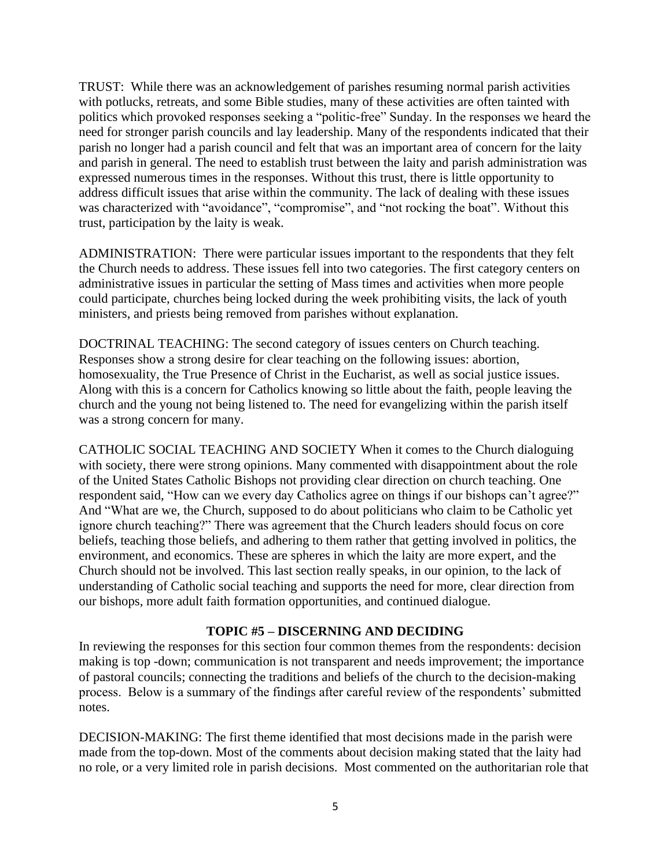TRUST: While there was an acknowledgement of parishes resuming normal parish activities with potlucks, retreats, and some Bible studies, many of these activities are often tainted with politics which provoked responses seeking a "politic-free" Sunday. In the responses we heard the need for stronger parish councils and lay leadership. Many of the respondents indicated that their parish no longer had a parish council and felt that was an important area of concern for the laity and parish in general. The need to establish trust between the laity and parish administration was expressed numerous times in the responses. Without this trust, there is little opportunity to address difficult issues that arise within the community. The lack of dealing with these issues was characterized with "avoidance", "compromise", and "not rocking the boat". Without this trust, participation by the laity is weak.

ADMINISTRATION: There were particular issues important to the respondents that they felt the Church needs to address. These issues fell into two categories. The first category centers on administrative issues in particular the setting of Mass times and activities when more people could participate, churches being locked during the week prohibiting visits, the lack of youth ministers, and priests being removed from parishes without explanation.

DOCTRINAL TEACHING: The second category of issues centers on Church teaching. Responses show a strong desire for clear teaching on the following issues: abortion, homosexuality, the True Presence of Christ in the Eucharist, as well as social justice issues. Along with this is a concern for Catholics knowing so little about the faith, people leaving the church and the young not being listened to. The need for evangelizing within the parish itself was a strong concern for many.

CATHOLIC SOCIAL TEACHING AND SOCIETY When it comes to the Church dialoguing with society, there were strong opinions. Many commented with disappointment about the role of the United States Catholic Bishops not providing clear direction on church teaching. One respondent said, "How can we every day Catholics agree on things if our bishops can't agree?" And "What are we, the Church, supposed to do about politicians who claim to be Catholic yet ignore church teaching?" There was agreement that the Church leaders should focus on core beliefs, teaching those beliefs, and adhering to them rather that getting involved in politics, the environment, and economics. These are spheres in which the laity are more expert, and the Church should not be involved. This last section really speaks, in our opinion, to the lack of understanding of Catholic social teaching and supports the need for more, clear direction from our bishops, more adult faith formation opportunities, and continued dialogue.

## **TOPIC #5 – DISCERNING AND DECIDING**

In reviewing the responses for this section four common themes from the respondents: decision making is top -down; communication is not transparent and needs improvement; the importance of pastoral councils; connecting the traditions and beliefs of the church to the decision-making process. Below is a summary of the findings after careful review of the respondents' submitted notes.

DECISION-MAKING: The first theme identified that most decisions made in the parish were made from the top-down. Most of the comments about decision making stated that the laity had no role, or a very limited role in parish decisions. Most commented on the authoritarian role that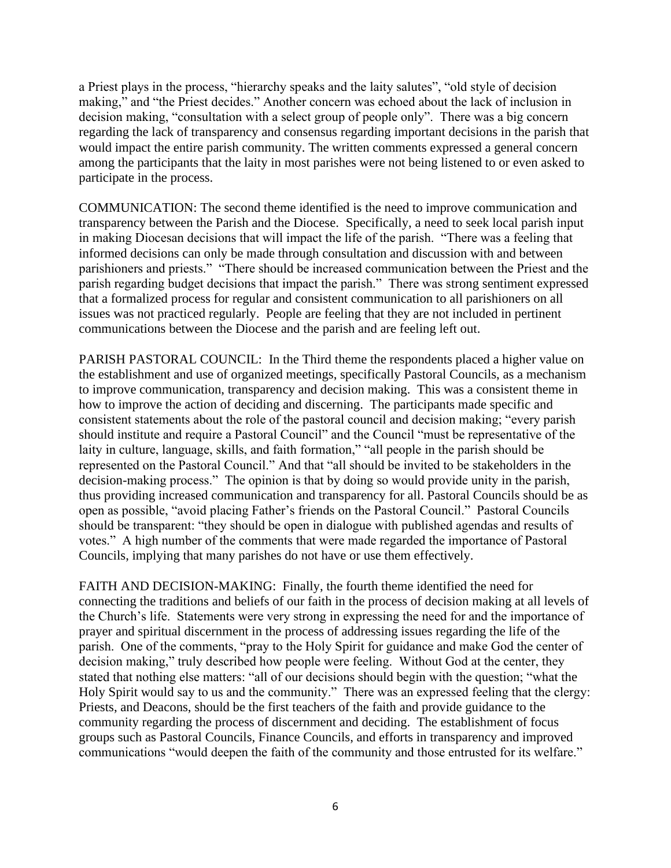a Priest plays in the process, "hierarchy speaks and the laity salutes", "old style of decision making," and "the Priest decides." Another concern was echoed about the lack of inclusion in decision making, "consultation with a select group of people only". There was a big concern regarding the lack of transparency and consensus regarding important decisions in the parish that would impact the entire parish community. The written comments expressed a general concern among the participants that the laity in most parishes were not being listened to or even asked to participate in the process.

COMMUNICATION: The second theme identified is the need to improve communication and transparency between the Parish and the Diocese. Specifically, a need to seek local parish input in making Diocesan decisions that will impact the life of the parish. "There was a feeling that informed decisions can only be made through consultation and discussion with and between parishioners and priests." "There should be increased communication between the Priest and the parish regarding budget decisions that impact the parish." There was strong sentiment expressed that a formalized process for regular and consistent communication to all parishioners on all issues was not practiced regularly. People are feeling that they are not included in pertinent communications between the Diocese and the parish and are feeling left out.

PARISH PASTORAL COUNCIL: In the Third theme the respondents placed a higher value on the establishment and use of organized meetings, specifically Pastoral Councils, as a mechanism to improve communication, transparency and decision making. This was a consistent theme in how to improve the action of deciding and discerning. The participants made specific and consistent statements about the role of the pastoral council and decision making; "every parish should institute and require a Pastoral Council" and the Council "must be representative of the laity in culture, language, skills, and faith formation," "all people in the parish should be represented on the Pastoral Council." And that "all should be invited to be stakeholders in the decision-making process." The opinion is that by doing so would provide unity in the parish, thus providing increased communication and transparency for all. Pastoral Councils should be as open as possible, "avoid placing Father's friends on the Pastoral Council." Pastoral Councils should be transparent: "they should be open in dialogue with published agendas and results of votes." A high number of the comments that were made regarded the importance of Pastoral Councils, implying that many parishes do not have or use them effectively.

FAITH AND DECISION-MAKING: Finally, the fourth theme identified the need for connecting the traditions and beliefs of our faith in the process of decision making at all levels of the Church's life. Statements were very strong in expressing the need for and the importance of prayer and spiritual discernment in the process of addressing issues regarding the life of the parish. One of the comments, "pray to the Holy Spirit for guidance and make God the center of decision making," truly described how people were feeling. Without God at the center, they stated that nothing else matters: "all of our decisions should begin with the question; "what the Holy Spirit would say to us and the community." There was an expressed feeling that the clergy: Priests, and Deacons, should be the first teachers of the faith and provide guidance to the community regarding the process of discernment and deciding. The establishment of focus groups such as Pastoral Councils, Finance Councils, and efforts in transparency and improved communications "would deepen the faith of the community and those entrusted for its welfare."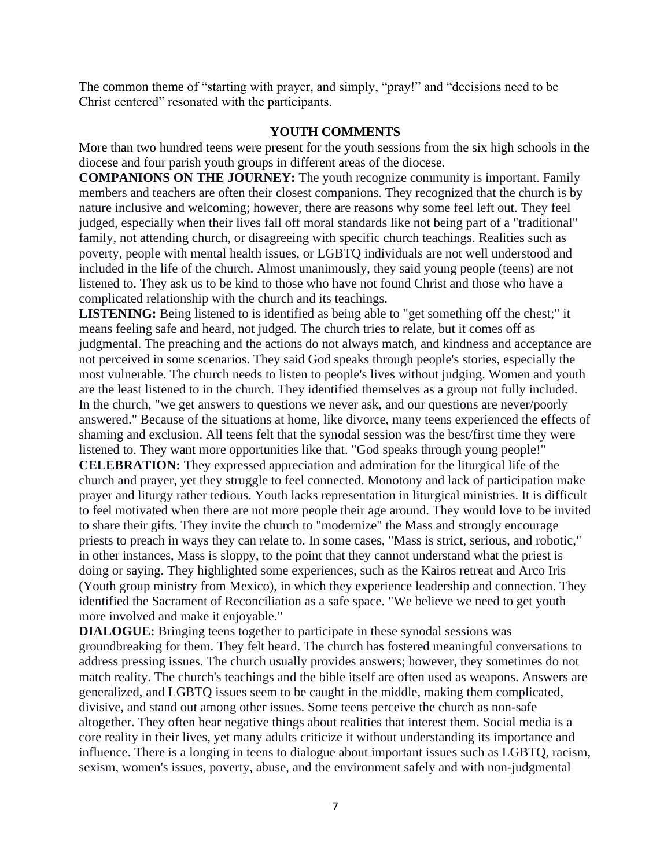The common theme of "starting with prayer, and simply, "pray!" and "decisions need to be Christ centered" resonated with the participants.

## **YOUTH COMMENTS**

More than two hundred teens were present for the youth sessions from the six high schools in the diocese and four parish youth groups in different areas of the diocese.

**COMPANIONS ON THE JOURNEY:** The youth recognize community is important. Family members and teachers are often their closest companions. They recognized that the church is by nature inclusive and welcoming; however, there are reasons why some feel left out. They feel judged, especially when their lives fall off moral standards like not being part of a "traditional" family, not attending church, or disagreeing with specific church teachings. Realities such as poverty, people with mental health issues, or LGBTQ individuals are not well understood and included in the life of the church. Almost unanimously, they said young people (teens) are not listened to. They ask us to be kind to those who have not found Christ and those who have a complicated relationship with the church and its teachings.

**LISTENING:** Being listened to is identified as being able to "get something off the chest;" it means feeling safe and heard, not judged. The church tries to relate, but it comes off as judgmental. The preaching and the actions do not always match, and kindness and acceptance are not perceived in some scenarios. They said God speaks through people's stories, especially the most vulnerable. The church needs to listen to people's lives without judging. Women and youth are the least listened to in the church. They identified themselves as a group not fully included. In the church, "we get answers to questions we never ask, and our questions are never/poorly answered." Because of the situations at home, like divorce, many teens experienced the effects of shaming and exclusion. All teens felt that the synodal session was the best/first time they were listened to. They want more opportunities like that. "God speaks through young people!"

**CELEBRATION:** They expressed appreciation and admiration for the liturgical life of the church and prayer, yet they struggle to feel connected. Monotony and lack of participation make prayer and liturgy rather tedious. Youth lacks representation in liturgical ministries. It is difficult to feel motivated when there are not more people their age around. They would love to be invited to share their gifts. They invite the church to "modernize" the Mass and strongly encourage priests to preach in ways they can relate to. In some cases, "Mass is strict, serious, and robotic," in other instances, Mass is sloppy, to the point that they cannot understand what the priest is doing or saying. They highlighted some experiences, such as the Kairos retreat and Arco Iris (Youth group ministry from Mexico), in which they experience leadership and connection. They identified the Sacrament of Reconciliation as a safe space. "We believe we need to get youth more involved and make it enjoyable."

**DIALOGUE:** Bringing teens together to participate in these synodal sessions was groundbreaking for them. They felt heard. The church has fostered meaningful conversations to address pressing issues. The church usually provides answers; however, they sometimes do not match reality. The church's teachings and the bible itself are often used as weapons. Answers are generalized, and LGBTQ issues seem to be caught in the middle, making them complicated, divisive, and stand out among other issues. Some teens perceive the church as non-safe altogether. They often hear negative things about realities that interest them. Social media is a core reality in their lives, yet many adults criticize it without understanding its importance and influence. There is a longing in teens to dialogue about important issues such as LGBTQ, racism, sexism, women's issues, poverty, abuse, and the environment safely and with non-judgmental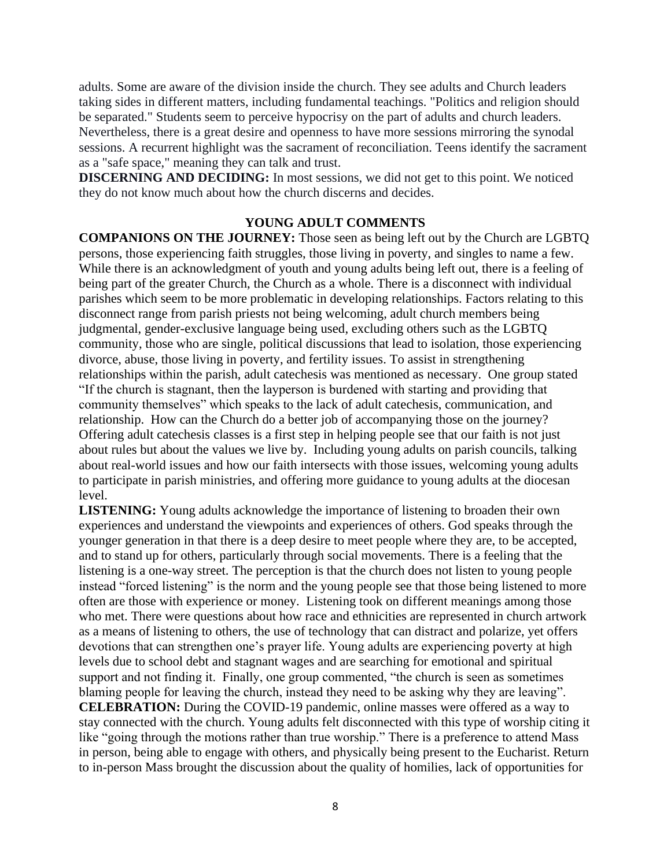adults. Some are aware of the division inside the church. They see adults and Church leaders taking sides in different matters, including fundamental teachings. "Politics and religion should be separated." Students seem to perceive hypocrisy on the part of adults and church leaders. Nevertheless, there is a great desire and openness to have more sessions mirroring the synodal sessions. A recurrent highlight was the sacrament of reconciliation. Teens identify the sacrament as a "safe space," meaning they can talk and trust.

**DISCERNING AND DECIDING:** In most sessions, we did not get to this point. We noticed they do not know much about how the church discerns and decides.

#### **YOUNG ADULT COMMENTS**

**COMPANIONS ON THE JOURNEY:** Those seen as being left out by the Church are LGBTQ persons, those experiencing faith struggles, those living in poverty, and singles to name a few. While there is an acknowledgment of youth and young adults being left out, there is a feeling of being part of the greater Church, the Church as a whole. There is a disconnect with individual parishes which seem to be more problematic in developing relationships. Factors relating to this disconnect range from parish priests not being welcoming, adult church members being judgmental, gender-exclusive language being used, excluding others such as the LGBTQ community, those who are single, political discussions that lead to isolation, those experiencing divorce, abuse, those living in poverty, and fertility issues. To assist in strengthening relationships within the parish, adult catechesis was mentioned as necessary. One group stated "If the church is stagnant, then the layperson is burdened with starting and providing that community themselves" which speaks to the lack of adult catechesis, communication, and relationship. How can the Church do a better job of accompanying those on the journey? Offering adult catechesis classes is a first step in helping people see that our faith is not just about rules but about the values we live by. Including young adults on parish councils, talking about real-world issues and how our faith intersects with those issues, welcoming young adults to participate in parish ministries, and offering more guidance to young adults at the diocesan level.

**LISTENING:** Young adults acknowledge the importance of listening to broaden their own experiences and understand the viewpoints and experiences of others. God speaks through the younger generation in that there is a deep desire to meet people where they are, to be accepted, and to stand up for others, particularly through social movements. There is a feeling that the listening is a one-way street. The perception is that the church does not listen to young people instead "forced listening" is the norm and the young people see that those being listened to more often are those with experience or money. Listening took on different meanings among those who met. There were questions about how race and ethnicities are represented in church artwork as a means of listening to others, the use of technology that can distract and polarize, yet offers devotions that can strengthen one's prayer life. Young adults are experiencing poverty at high levels due to school debt and stagnant wages and are searching for emotional and spiritual support and not finding it. Finally, one group commented, "the church is seen as sometimes blaming people for leaving the church, instead they need to be asking why they are leaving". **CELEBRATION:** During the COVID-19 pandemic, online masses were offered as a way to stay connected with the church. Young adults felt disconnected with this type of worship citing it like "going through the motions rather than true worship." There is a preference to attend Mass in person, being able to engage with others, and physically being present to the Eucharist. Return to in-person Mass brought the discussion about the quality of homilies, lack of opportunities for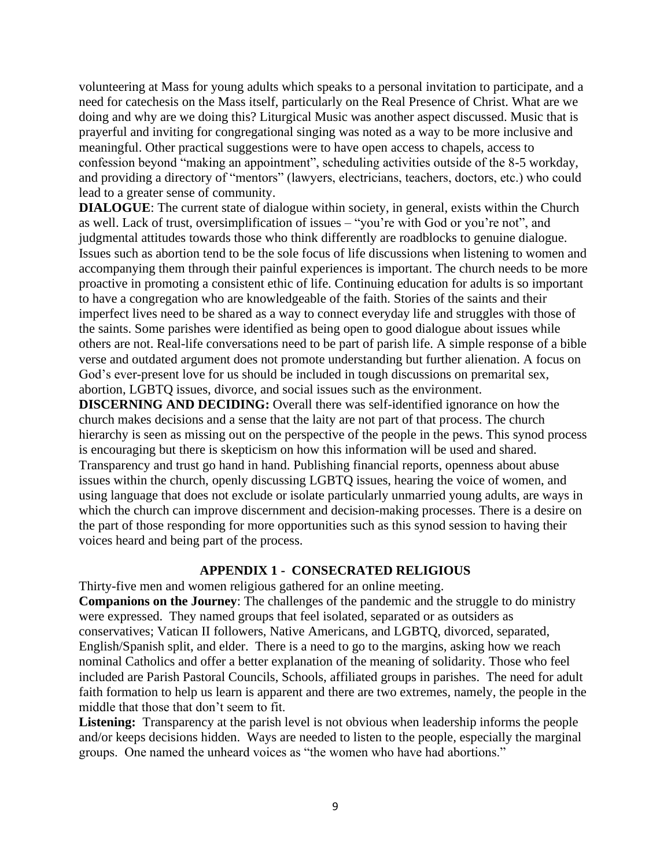volunteering at Mass for young adults which speaks to a personal invitation to participate, and a need for catechesis on the Mass itself, particularly on the Real Presence of Christ. What are we doing and why are we doing this? Liturgical Music was another aspect discussed. Music that is prayerful and inviting for congregational singing was noted as a way to be more inclusive and meaningful. Other practical suggestions were to have open access to chapels, access to confession beyond "making an appointment", scheduling activities outside of the 8-5 workday, and providing a directory of "mentors" (lawyers, electricians, teachers, doctors, etc.) who could lead to a greater sense of community.

**DIALOGUE:** The current state of dialogue within society, in general, exists within the Church as well. Lack of trust, oversimplification of issues – "you're with God or you're not", and judgmental attitudes towards those who think differently are roadblocks to genuine dialogue. Issues such as abortion tend to be the sole focus of life discussions when listening to women and accompanying them through their painful experiences is important. The church needs to be more proactive in promoting a consistent ethic of life. Continuing education for adults is so important to have a congregation who are knowledgeable of the faith. Stories of the saints and their imperfect lives need to be shared as a way to connect everyday life and struggles with those of the saints. Some parishes were identified as being open to good dialogue about issues while others are not. Real-life conversations need to be part of parish life. A simple response of a bible verse and outdated argument does not promote understanding but further alienation. A focus on God's ever-present love for us should be included in tough discussions on premarital sex, abortion, LGBTQ issues, divorce, and social issues such as the environment.

**DISCERNING AND DECIDING:** Overall there was self-identified ignorance on how the church makes decisions and a sense that the laity are not part of that process. The church hierarchy is seen as missing out on the perspective of the people in the pews. This synod process is encouraging but there is skepticism on how this information will be used and shared. Transparency and trust go hand in hand. Publishing financial reports, openness about abuse issues within the church, openly discussing LGBTQ issues, hearing the voice of women, and using language that does not exclude or isolate particularly unmarried young adults, are ways in which the church can improve discernment and decision-making processes. There is a desire on the part of those responding for more opportunities such as this synod session to having their voices heard and being part of the process.

#### **APPENDIX 1 - CONSECRATED RELIGIOUS**

Thirty-five men and women religious gathered for an online meeting.

**Companions on the Journey**: The challenges of the pandemic and the struggle to do ministry were expressed. They named groups that feel isolated, separated or as outsiders as conservatives; Vatican II followers, Native Americans, and LGBTQ, divorced, separated, English/Spanish split, and elder. There is a need to go to the margins, asking how we reach nominal Catholics and offer a better explanation of the meaning of solidarity. Those who feel included are Parish Pastoral Councils, Schools, affiliated groups in parishes. The need for adult faith formation to help us learn is apparent and there are two extremes, namely, the people in the middle that those that don't seem to fit.

**Listening:** Transparency at the parish level is not obvious when leadership informs the people and/or keeps decisions hidden. Ways are needed to listen to the people, especially the marginal groups. One named the unheard voices as "the women who have had abortions."